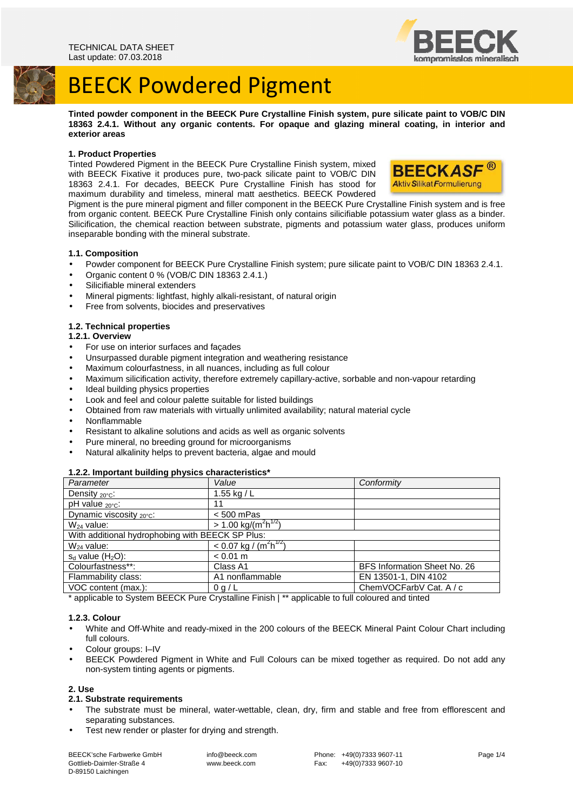



**Tinted powder component in the BEECK Pure Crystalline Finish system, pure silicate paint to VOB/C DIN 18363 2.4.1. Without any organic contents. For opaque and glazing mineral coating, in interior and exterior areas** 

## **1. Product Properties**

Tinted Powdered Pigment in the BEECK Pure Crystalline Finish system, mixed with BEECK Fixative it produces pure, two-pack silicate paint to VOB/C DIN 18363 2.4.1. For decades, BEECK Pure Crystalline Finish has stood for maximum durability and timeless, mineral matt aesthetics. BEECK Powdered



Pigment is the pure mineral pigment and filler component in the BEECK Pure Crystalline Finish system and is free from organic content. BEECK Pure Crystalline Finish only contains silicifiable potassium water glass as a binder. Silicification, the chemical reaction between substrate, pigments and potassium water glass, produces uniform inseparable bonding with the mineral substrate.

#### **1.1. Composition**

- Powder component for BEECK Pure Crystalline Finish system; pure silicate paint to VOB/C DIN 18363 2.4.1.
- Organic content 0 % (VOB/C DIN 18363 2.4.1.)
- Silicifiable mineral extenders
- Mineral pigments: lightfast, highly alkali-resistant, of natural origin
- Free from solvents, biocides and preservatives

#### **1.2. Technical properties**

## **1.2.1. Overview**

- For use on interior surfaces and façades
- Unsurpassed durable pigment integration and weathering resistance
- Maximum colourfastness, in all nuances, including as full colour
- Maximum silicification activity, therefore extremely capillary-active, sorbable and non-vapour retarding
- Ideal building physics properties
- Look and feel and colour palette suitable for listed buildings
- Obtained from raw materials with virtually unlimited availability; natural material cycle
- Nonflammable
- Resistant to alkaline solutions and acids as well as organic solvents
- Pure mineral, no breeding ground for microorganisms
- Natural alkalinity helps to prevent bacteria, algae and mould

### **1.2.2. Important building physics characteristics\***

| Parameter                                        | Value                                               | Conformity                   |
|--------------------------------------------------|-----------------------------------------------------|------------------------------|
| Density $_{20^{\circ}C}$ :                       | 1.55 kg / $L$                                       |                              |
| pH value $_{20\degree}$ C:                       | 11                                                  |                              |
| Dynamic viscosity $_{20^{\circ}C}$ :             | $< 500$ mPas                                        |                              |
| $W_{24}$ value:                                  | $> 1.00$ kg/(m <sup>2</sup> h <sup>1/2</sup> )      |                              |
| With additional hydrophobing with BEECK SP Plus: |                                                     |                              |
| $W_{24}$ value:                                  | $\leq$ 0.07 kg / (m <sup>2</sup> h <sup>1/2</sup> ) |                              |
| $s_d$ value (H <sub>2</sub> O):                  | $< 0.01$ m                                          |                              |
| Colourfastness**:                                | Class A1                                            | BFS Information Sheet No. 26 |
| Flammability class:                              | A1 nonflammable                                     | EN 13501-1, DIN 4102         |
| VOC content (max.):                              | 0 q/L                                               | ChemVOCFarbV Cat. A / c      |
| . <b>. .</b> .<br>------<br>$\sim$ $\sim$ $\sim$ |                                                     |                              |

\* applicable to System BEECK Pure Crystalline Finish | \*\* applicable to full coloured and tinted

#### **1.2.3. Colour**

- White and Off-White and ready-mixed in the 200 colours of the BEECK Mineral Paint Colour Chart including full colours.
- Colour groups: I–IV
- BEECK Powdered Pigment in White and Full Colours can be mixed together as required. Do not add any non-system tinting agents or pigments.

### **2. Use**

#### **2.1. Substrate requirements**

- The substrate must be mineral, water-wettable, clean, dry, firm and stable and free from efflorescent and separating substances.
- Test new render or plaster for drying and strength.

BEECK'sche Farbwerke GmbH Gottlieb-Daimler-Straße 4 D-89150 Laichingen

 info@beeck.com www.beeck.com

 Phone: +49(0)7333 9607-11 Fax: +49(0)7333 9607-10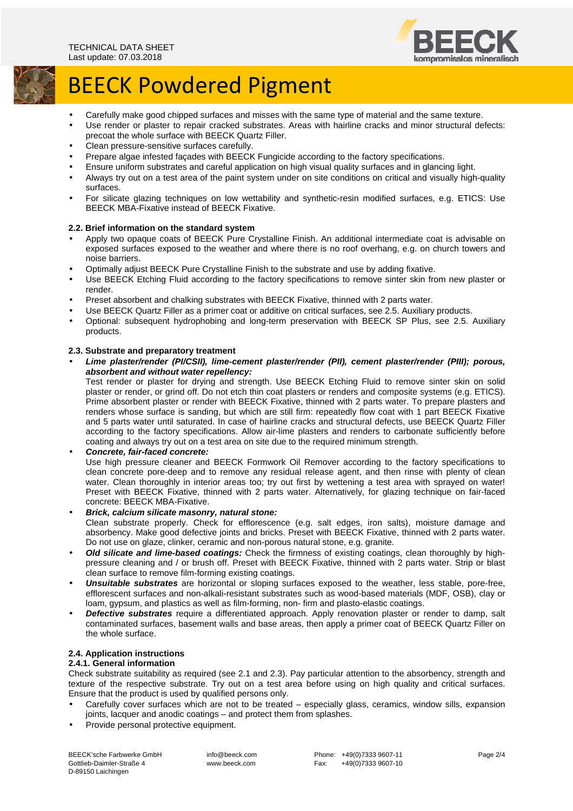

- Carefully make good chipped surfaces and misses with the same type of material and the same texture.
- Use render or plaster to repair cracked substrates. Areas with hairline cracks and minor structural defects: precoat the whole surface with BEECK Quartz Filler.
- Clean pressure-sensitive surfaces carefully.
- Prepare algae infested façades with BEECK Fungicide according to the factory specifications.
- Ensure uniform substrates and careful application on high visual quality surfaces and in glancing light.
- Always try out on a test area of the paint system under on site conditions on critical and visually high-quality surfaces.
- For silicate glazing techniques on low wettability and synthetic-resin modified surfaces, e.g. ETICS: Use BEECK MBA-Fixative instead of BEECK Fixative.

## **2.2. Brief information on the standard system**

- Apply two opaque coats of BEECK Pure Crystalline Finish. An additional intermediate coat is advisable on exposed surfaces exposed to the weather and where there is no roof overhang, e.g. on church towers and noise barriers.
- Optimally adjust BEECK Pure Crystalline Finish to the substrate and use by adding fixative.
- Use BEECK Etching Fluid according to the factory specifications to remove sinter skin from new plaster or render.
- Preset absorbent and chalking substrates with BEECK Fixative, thinned with 2 parts water.
- Use BEECK Quartz Filler as a primer coat or additive on critical surfaces, see 2.5. Auxiliary products.
- Optional: subsequent hydrophobing and long-term preservation with BEECK SP Plus, see 2.5. Auxiliary products.

## **2.3. Substrate and preparatory treatment**

• **Lime plaster/render (PI/CSII), lime-cement plaster/render (PII), cement plaster/render (PIII); porous, absorbent and without water repellency:** 

Test render or plaster for drying and strength. Use BEECK Etching Fluid to remove sinter skin on solid plaster or render, or grind off. Do not etch thin coat plasters or renders and composite systems (e.g. ETICS). Prime absorbent plaster or render with BEECK Fixative, thinned with 2 parts water. To prepare plasters and renders whose surface is sanding, but which are still firm: repeatedly flow coat with 1 part BEECK Fixative and 5 parts water until saturated. In case of hairline cracks and structural defects, use BEECK Quartz Filler according to the factory specifications. Allow air-lime plasters and renders to carbonate sufficiently before coating and always try out on a test area on site due to the required minimum strength.

## • **Concrete, fair-faced concrete:**

Use high pressure cleaner and BEECK Formwork Oil Remover according to the factory specifications to clean concrete pore-deep and to remove any residual release agent, and then rinse with plenty of clean water. Clean thoroughly in interior areas too; try out first by wettening a test area with sprayed on water! Preset with BEECK Fixative, thinned with 2 parts water. Alternatively, for glazing technique on fair-faced concrete: BEECK MBA-Fixative.

#### • **Brick, calcium silicate masonry, natural stone:**

Clean substrate properly. Check for efflorescence (e.g. salt edges, iron salts), moisture damage and absorbency. Make good defective joints and bricks. Preset with BEECK Fixative, thinned with 2 parts water. Do not use on glaze, clinker, ceramic and non-porous natural stone, e.g. granite.

- **Old silicate and lime-based coatings:** Check the firmness of existing coatings, clean thoroughly by highpressure cleaning and / or brush off. Preset with BEECK Fixative, thinned with 2 parts water. Strip or blast clean surface to remove film-forming existing coatings.
- **Unsuitable substrates** are horizontal or sloping surfaces exposed to the weather, less stable, pore-free, efflorescent surfaces and non-alkali-resistant substrates such as wood-based materials (MDF, OSB), clay or loam, gypsum, and plastics as well as film-forming, non- firm and plasto-elastic coatings.
- **Defective substrates** require a differentiated approach. Apply renovation plaster or render to damp, salt contaminated surfaces, basement walls and base areas, then apply a primer coat of BEECK Quartz Filler on the whole surface.

## **2.4. Application instructions**

## **2.4.1. General information**

Check substrate suitability as required (see 2.1 and 2.3). Pay particular attention to the absorbency, strength and texture of the respective substrate. Try out on a test area before using on high quality and critical surfaces. Ensure that the product is used by qualified persons only.

- Carefully cover surfaces which are not to be treated especially glass, ceramics, window sills, expansion joints, lacquer and anodic coatings – and protect them from splashes.
- Provide personal protective equipment.

BEECK'sche Farbwerke GmbH Gottlieb-Daimler-Straße 4 D-89150 Laichingen

 info@beeck.com www.beeck.com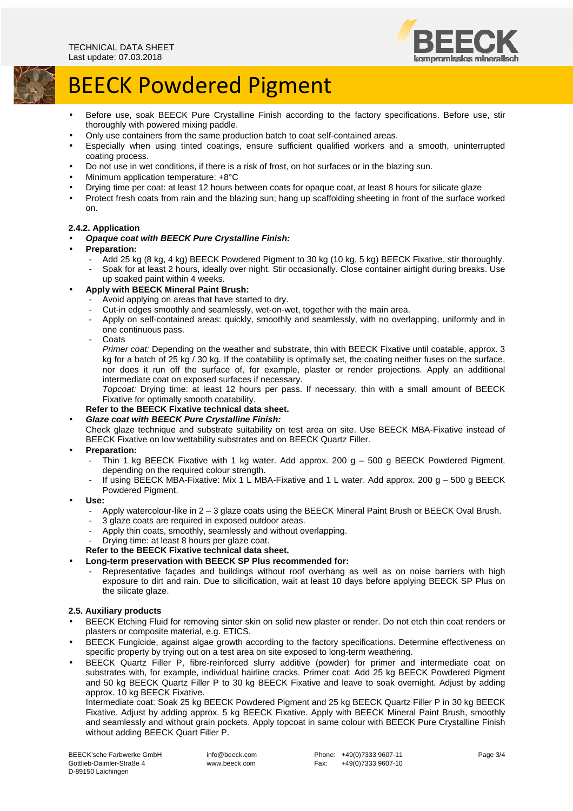

- Before use, soak BEECK Pure Crystalline Finish according to the factory specifications. Before use, stir thoroughly with powered mixing paddle.
- Only use containers from the same production batch to coat self-contained areas.
- Especially when using tinted coatings, ensure sufficient qualified workers and a smooth, uninterrupted coating process.
- Do not use in wet conditions, if there is a risk of frost, on hot surfaces or in the blazing sun.
- Minimum application temperature: +8°C
- Drying time per coat: at least 12 hours between coats for opaque coat, at least 8 hours for silicate glaze
- Protect fresh coats from rain and the blazing sun; hang up scaffolding sheeting in front of the surface worked on.

### **2.4.2. Application**

- **Opaque coat with BEECK Pure Crystalline Finish:**
- **Preparation:** 
	- Add 25 kg (8 kg, 4 kg) BEECK Powdered Pigment to 30 kg (10 kg, 5 kg) BEECK Fixative, stir thoroughly.
	- Soak for at least 2 hours, ideally over night. Stir occasionally. Close container airtight during breaks. Use up soaked paint within 4 weeks.
- **Apply with BEECK Mineral Paint Brush:** 
	- Avoid applying on areas that have started to dry.
	- Cut-in edges smoothly and seamlessly, wet-on-wet, together with the main area.
	- Apply on self-contained areas: quickly, smoothly and seamlessly, with no overlapping, uniformly and in one continuous pass.

- Coats

Primer coat: Depending on the weather and substrate, thin with BEECK Fixative until coatable, approx. 3 kg for a batch of 25 kg / 30 kg. If the coatability is optimally set, the coating neither fuses on the surface, nor does it run off the surface of, for example, plaster or render projections. Apply an additional intermediate coat on exposed surfaces if necessary.

Topcoat: Drying time: at least 12 hours per pass. If necessary, thin with a small amount of BEECK Fixative for optimally smooth coatability.

## **Refer to the BEECK Fixative technical data sheet.**

• **Glaze coat with BEECK Pure Crystalline Finish:** 

Check glaze technique and substrate suitability on test area on site. Use BEECK MBA-Fixative instead of BEECK Fixative on low wettability substrates and on BEECK Quartz Filler.

- **Preparation:** 
	- Thin 1 kg BEECK Fixative with 1 kg water. Add approx. 200  $g 500$  g BEECK Powdered Pigment, depending on the required colour strength.
	- If using BEECK MBA-Fixative: Mix 1 L MBA-Fixative and 1 L water. Add approx. 200 g 500 g BEECK Powdered Pigment.
- **Use:** 
	- Apply watercolour-like in 2 3 glaze coats using the BEECK Mineral Paint Brush or BEECK Oval Brush.
	- 3 glaze coats are required in exposed outdoor areas.
	- Apply thin coats, smoothly, seamlessly and without overlapping.
	- Drying time: at least 8 hours per glaze coat.

#### **Refer to the BEECK Fixative technical data sheet.**

- **Long-term preservation with BEECK SP Plus recommended for:** 
	- Representative façades and buildings without roof overhang as well as on noise barriers with high exposure to dirt and rain. Due to silicification, wait at least 10 days before applying BEECK SP Plus on the silicate glaze.

#### **2.5. Auxiliary products**

- BEECK Etching Fluid for removing sinter skin on solid new plaster or render. Do not etch thin coat renders or plasters or composite material, e.g. ETICS.
- BEECK Fungicide, against algae growth according to the factory specifications. Determine effectiveness on specific property by trying out on a test area on site exposed to long-term weathering.
- BEECK Quartz Filler P, fibre-reinforced slurry additive (powder) for primer and intermediate coat on substrates with, for example, individual hairline cracks. Primer coat: Add 25 kg BEECK Powdered Pigment and 50 kg BEECK Quartz Filler P to 30 kg BEECK Fixative and leave to soak overnight. Adjust by adding approx. 10 kg BEECK Fixative.

Intermediate coat: Soak 25 kg BEECK Powdered Pigment and 25 kg BEECK Quartz Filler P in 30 kg BEECK Fixative. Adjust by adding approx. 5 kg BEECK Fixative. Apply with BEECK Mineral Paint Brush, smoothly and seamlessly and without grain pockets. Apply topcoat in same colour with BEECK Pure Crystalline Finish without adding BEECK Quart Filler P.

 info@beeck.com www.beeck.com